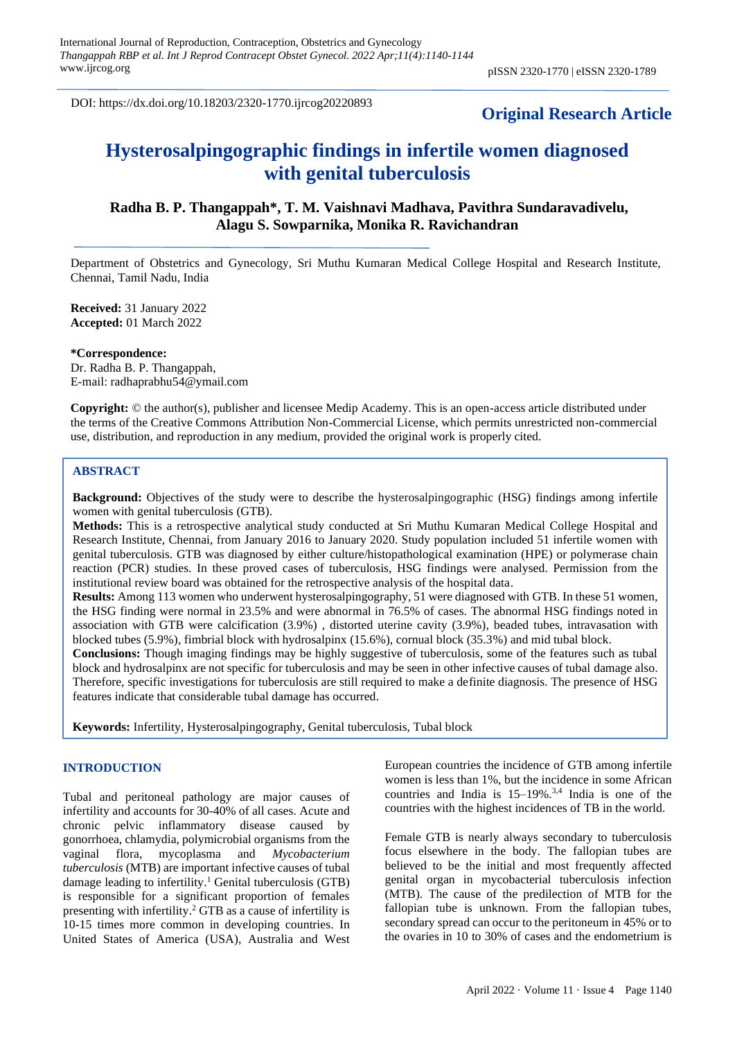DOI: https://dx.doi.org/10.18203/2320-1770.ijrcog20220893

## **Original Research Article**

# **Hysterosalpingographic findings in infertile women diagnosed with genital tuberculosis**

**Radha B. P. Thangappah\*, T. M. Vaishnavi Madhava, Pavithra Sundaravadivelu, Alagu S. Sowparnika, Monika R. Ravichandran**

Department of Obstetrics and Gynecology, Sri Muthu Kumaran Medical College Hospital and Research Institute, Chennai, Tamil Nadu, India

**Received:** 31 January 2022 **Accepted:** 01 March 2022

**\*Correspondence:** Dr. Radha B. P. Thangappah, E-mail: radhaprabhu54@ymail.com

**Copyright:** © the author(s), publisher and licensee Medip Academy. This is an open-access article distributed under the terms of the Creative Commons Attribution Non-Commercial License, which permits unrestricted non-commercial use, distribution, and reproduction in any medium, provided the original work is properly cited.

## **ABSTRACT**

**Background:** Objectives of the study were to describe the hysterosalpingographic (HSG) findings among infertile women with genital tuberculosis (GTB).

**Methods:** This is a retrospective analytical study conducted at Sri Muthu Kumaran Medical College Hospital and Research Institute, Chennai, from January 2016 to January 2020. Study population included 51 infertile women with genital tuberculosis. GTB was diagnosed by either culture/histopathological examination (HPE) or polymerase chain reaction (PCR) studies. In these proved cases of tuberculosis, HSG findings were analysed. Permission from the institutional review board was obtained for the retrospective analysis of the hospital data.

**Results:** Among 113 women who underwent hysterosalpingography, 51 were diagnosed with GTB. In these 51 women, the HSG finding were normal in 23.5% and were abnormal in 76.5% of cases. The abnormal HSG findings noted in association with GTB were calcification (3.9%) , distorted uterine cavity (3.9%), beaded tubes, intravasation with blocked tubes (5.9%), fimbrial block with hydrosalpinx (15.6%), cornual block (35.3%) and mid tubal block.

**Conclusions:** Though imaging findings may be highly suggestive of tuberculosis, some of the features such as tubal block and hydrosalpinx are not specific for tuberculosis and may be seen in other infective causes of tubal damage also. Therefore, specific investigations for tuberculosis are still required to make a definite diagnosis. The presence of HSG features indicate that considerable tubal damage has occurred.

**Keywords:** Infertility, Hysterosalpingography, Genital tuberculosis, Tubal block

## **INTRODUCTION**

Tubal and peritoneal pathology are major causes of infertility and accounts for 30-40% of all cases. Acute and chronic pelvic inflammatory disease caused by gonorrhoea, chlamydia, polymicrobial organisms from the vaginal flora, mycoplasma and *Mycobacterium tuberculosis* (MTB) are important infective causes of tubal damage leading to infertility. <sup>1</sup> Genital tuberculosis (GTB) is responsible for a significant proportion of females presenting with infertility. <sup>2</sup> GTB as a cause of infertility is 10-15 times more common in developing countries. In United States of America (USA), Australia and West European countries the incidence of GTB among infertile women is less than 1%, but the incidence in some African countries and India is  $15-19\%$ .<sup>3,4</sup> India is one of the countries with the highest incidences of TB in the world.

Female GTB is nearly always secondary to tuberculosis focus elsewhere in the body. The fallopian tubes are believed to be the initial and most frequently affected genital organ in mycobacterial tuberculosis infection (MTB). The cause of the predilection of MTB for the fallopian tube is unknown. From the fallopian tubes, secondary spread can occur to the peritoneum in 45% or to the ovaries in 10 to 30% of cases and the endometrium is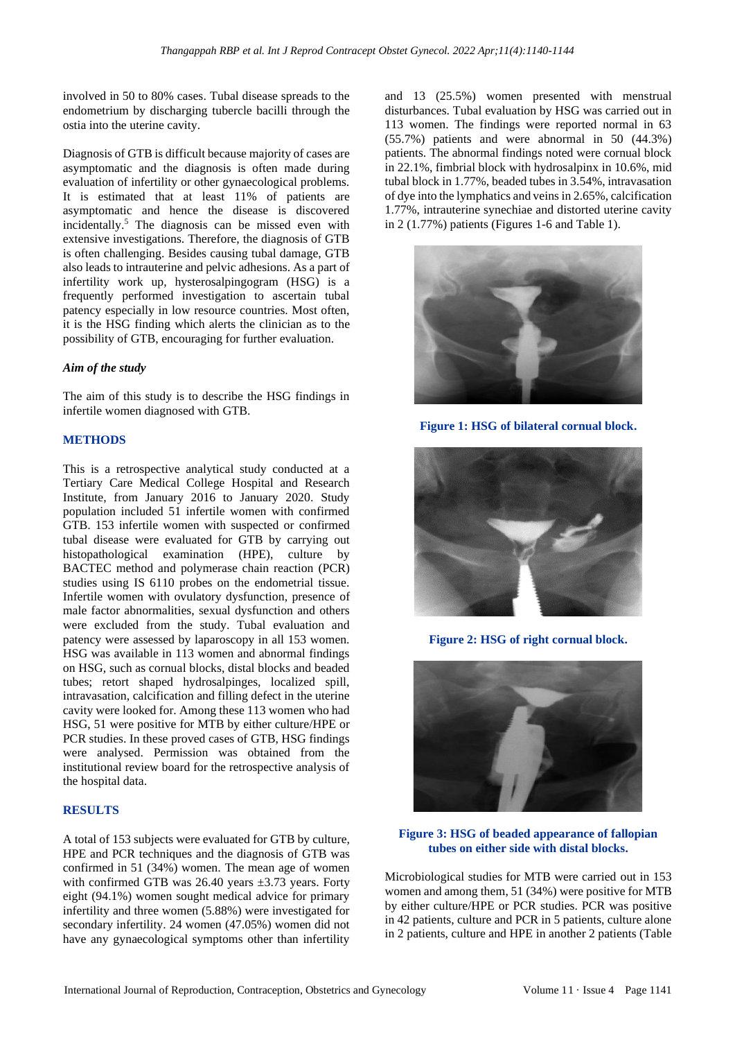involved in 50 to 80% cases. Tubal disease spreads to the endometrium by discharging tubercle bacilli through the ostia into the uterine cavity.

Diagnosis of GTB is difficult because majority of cases are asymptomatic and the diagnosis is often made during evaluation of infertility or other gynaecological problems. It is estimated that at least 11% of patients are asymptomatic and hence the disease is discovered incidentally. <sup>5</sup> The diagnosis can be missed even with extensive investigations. Therefore, the diagnosis of GTB is often challenging. Besides causing tubal damage, GTB also leads to intrauterine and pelvic adhesions. As a part of infertility work up, hysterosalpingogram (HSG) is a frequently performed investigation to ascertain tubal patency especially in low resource countries. Most often, it is the HSG finding which alerts the clinician as to the possibility of GTB, encouraging for further evaluation.

## *Aim of the study*

The aim of this study is to describe the HSG findings in infertile women diagnosed with GTB.

## **METHODS**

This is a retrospective analytical study conducted at a Tertiary Care Medical College Hospital and Research Institute, from January 2016 to January 2020. Study population included 51 infertile women with confirmed GTB. 153 infertile women with suspected or confirmed tubal disease were evaluated for GTB by carrying out histopathological examination (HPE), culture by BACTEC method and polymerase chain reaction (PCR) studies using IS 6110 probes on the endometrial tissue. Infertile women with ovulatory dysfunction, presence of male factor abnormalities, sexual dysfunction and others were excluded from the study. Tubal evaluation and patency were assessed by laparoscopy in all 153 women. HSG was available in 113 women and abnormal findings on HSG, such as cornual blocks, distal blocks and beaded tubes; retort shaped hydrosalpinges, localized spill, intravasation, calcification and filling defect in the uterine cavity were looked for. Among these 113 women who had HSG, 51 were positive for MTB by either culture/HPE or PCR studies. In these proved cases of GTB, HSG findings were analysed. Permission was obtained from the institutional review board for the retrospective analysis of the hospital data.

## **RESULTS**

A total of 153 subjects were evaluated for GTB by culture, HPE and PCR techniques and the diagnosis of GTB was confirmed in 51 (34%) women. The mean age of women with confirmed GTB was  $26.40$  years  $\pm 3.73$  years. Forty eight (94.1%) women sought medical advice for primary infertility and three women (5.88%) were investigated for secondary infertility. 24 women (47.05%) women did not have any gynaecological symptoms other than infertility and 13 (25.5%) women presented with menstrual disturbances. Tubal evaluation by HSG was carried out in 113 women. The findings were reported normal in 63 (55.7%) patients and were abnormal in 50 (44.3%) patients. The abnormal findings noted were cornual block in 22.1%, fimbrial block with hydrosalpinx in 10.6%, mid tubal block in 1.77%, beaded tubes in 3.54%, intravasation of dye into the lymphatics and veins in 2.65%, calcification 1.77%, intrauterine synechiae and distorted uterine cavity in 2 (1.77%) patients (Figures 1-6 and Table 1).



**Figure 1: HSG of bilateral cornual block.**



**Figure 2: HSG of right cornual block.**



**Figure 3: HSG of beaded appearance of fallopian tubes on either side with distal blocks.**

Microbiological studies for MTB were carried out in 153 women and among them, 51 (34%) were positive for MTB by either culture/HPE or PCR studies. PCR was positive in 42 patients, culture and PCR in 5 patients, culture alone in 2 patients, culture and HPE in another 2 patients (Table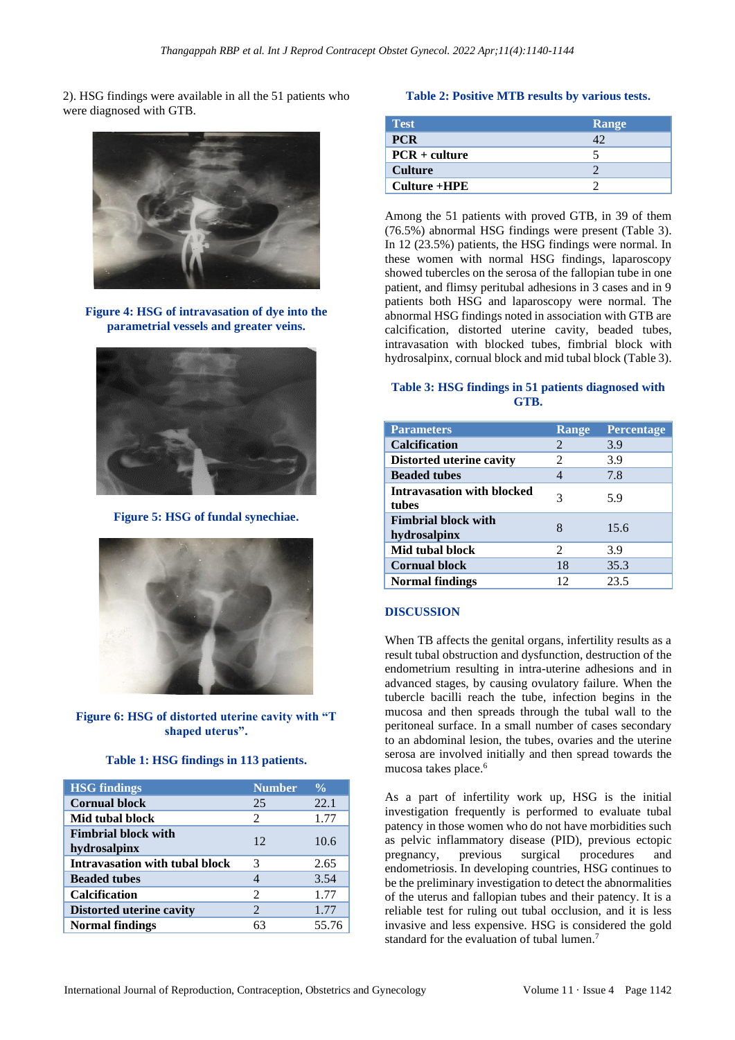2). HSG findings were available in all the 51 patients who were diagnosed with GTB.



**Figure 4: HSG of intravasation of dye into the parametrial vessels and greater veins.**



**Figure 5: HSG of fundal synechiae.**



**Figure 6: HSG of distorted uterine cavity with "T shaped uterus".**

|  |  |  | Table 1: HSG findings in 113 patients. |
|--|--|--|----------------------------------------|
|  |  |  |                                        |

| <b>HSG</b> findings                        | <b>Number</b>               | $\frac{0}{0}$ |
|--------------------------------------------|-----------------------------|---------------|
| <b>Cornual block</b>                       | 25                          | 22.1          |
| Mid tubal block                            | $\mathcal{D}_{\mathcal{L}}$ | 1.77          |
| <b>Fimbrial block with</b><br>hydrosalpinx | 12                          | 10.6          |
| Intravasation with tubal block             | 3                           | 2.65          |
| <b>Beaded tubes</b>                        | 4                           | 3.54          |
| <b>Calcification</b>                       | $\mathfrak{D}$              | 1.77          |
| <b>Distorted uterine cavity</b>            | 2                           | 1.77          |
| <b>Normal findings</b>                     | 63                          | 55.76         |

#### **Table 2: Positive MTB results by various tests.**

| <b>Test</b>     | Range      |
|-----------------|------------|
| <b>PCR</b>      | $\Delta$ ) |
| $PCR + culture$ |            |
| <b>Culture</b>  |            |
| $Culture + HPE$ |            |

Among the 51 patients with proved GTB, in 39 of them (76.5%) abnormal HSG findings were present (Table 3). In 12 (23.5%) patients, the HSG findings were normal. In these women with normal HSG findings, laparoscopy showed tubercles on the serosa of the fallopian tube in one patient, and flimsy peritubal adhesions in 3 cases and in 9 patients both HSG and laparoscopy were normal. The abnormal HSG findings noted in association with GTB are calcification, distorted uterine cavity, beaded tubes, intravasation with blocked tubes, fimbrial block with hydrosalpinx, cornual block and mid tubal block (Table 3).

## **Table 3: HSG findings in 51 patients diagnosed with GTB.**

| <b>Parameters</b>                          | <b>Range</b>                | <b>Percentage</b> |
|--------------------------------------------|-----------------------------|-------------------|
| <b>Calcification</b>                       | 2                           | 3.9               |
| <b>Distorted uterine cavity</b>            | 2                           | 3.9               |
| <b>Beaded tubes</b>                        |                             | 7.8               |
| Intravasation with blocked<br>tubes        | 3                           | 5.9               |
| <b>Fimbrial block with</b><br>hydrosalpinx | 8                           | 15.6              |
| Mid tubal block                            | $\mathcal{D}_{\mathcal{L}}$ | 3.9               |
| <b>Cornual block</b>                       | 18                          | 35.3              |
| Normal findings                            | 12                          | 23.5              |

#### **DISCUSSION**

When TB affects the genital organs, infertility results as a result tubal obstruction and dysfunction, destruction of the endometrium resulting in intra-uterine adhesions and in advanced stages, by causing ovulatory failure. When the tubercle bacilli reach the tube, infection begins in the mucosa and then spreads through the tubal wall to the peritoneal surface. In a small number of cases secondary to an abdominal lesion, the tubes, ovaries and the uterine serosa are involved initially and then spread towards the mucosa takes place.<sup>6</sup>

As a part of infertility work up, HSG is the initial investigation frequently is performed to evaluate tubal patency in those women who do not have morbidities such as pelvic inflammatory disease (PID), previous ectopic pregnancy, previous surgical procedures and endometriosis. In developing countries, HSG continues to be the preliminary investigation to detect the abnormalities of the uterus and fallopian tubes and their patency. It is a reliable test for ruling out tubal occlusion, and it is less invasive and less expensive. HSG is considered the gold standard for the evaluation of tubal lumen. 7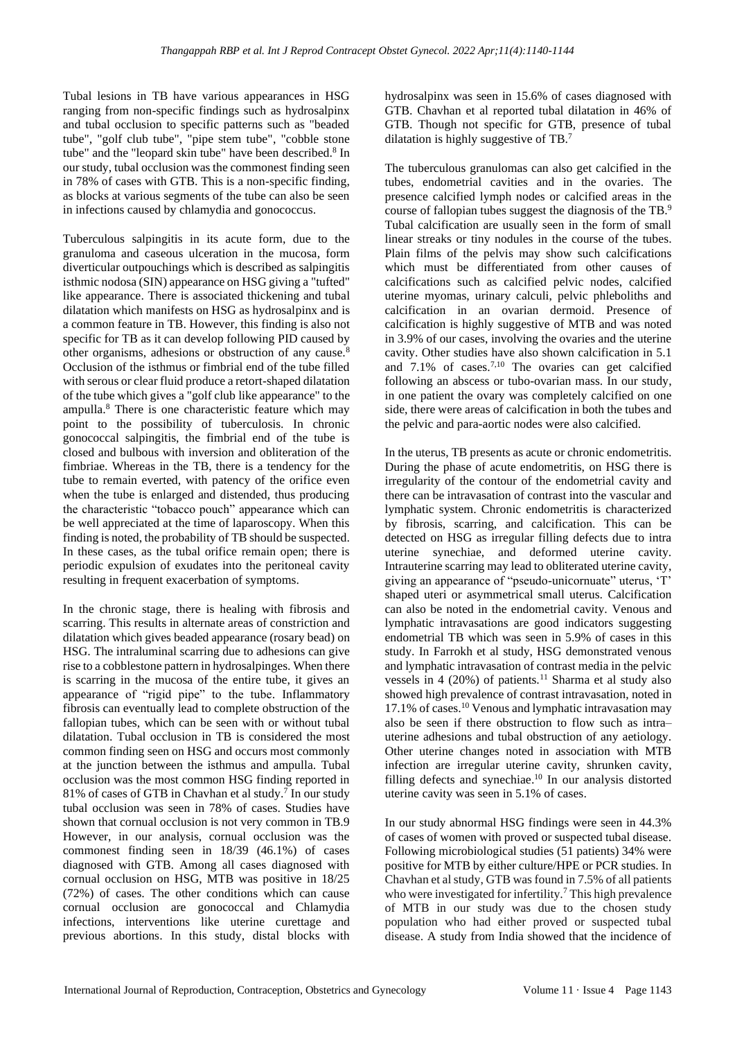Tubal lesions in TB have various appearances in HSG ranging from non-specific findings such as hydrosalpinx and tubal occlusion to specific patterns such as "beaded tube", "golf club tube", "pipe stem tube", "cobble stone tube" and the "leopard skin tube" have been described.<sup>8</sup> In our study, tubal occlusion was the commonest finding seen in 78% of cases with GTB. This is a non-specific finding, as blocks at various segments of the tube can also be seen in infections caused by chlamydia and gonococcus.

Tuberculous salpingitis in its acute form, due to the granuloma and caseous ulceration in the mucosa, form diverticular outpouchings which is described as salpingitis isthmic nodosa (SIN) appearance on HSG giving a "tufted" like appearance. There is associated thickening and tubal dilatation which manifests on HSG as hydrosalpinx and is a common feature in TB. However, this finding is also not specific for TB as it can develop following PID caused by other organisms, adhesions or obstruction of any cause.<sup>8</sup> Occlusion of the isthmus or fimbrial end of the tube filled with serous or clear fluid produce a retort-shaped dilatation of the tube which gives a "golf club like appearance" to the ampulla.<sup>8</sup> There is one characteristic feature which may point to the possibility of tuberculosis. In chronic gonococcal salpingitis, the fimbrial end of the tube is closed and bulbous with inversion and obliteration of the fimbriae. Whereas in the TB, there is a tendency for the tube to remain everted, with patency of the orifice even when the tube is enlarged and distended, thus producing the characteristic "tobacco pouch" appearance which can be well appreciated at the time of laparoscopy. When this finding is noted, the probability of TB should be suspected. In these cases, as the tubal orifice remain open; there is periodic expulsion of exudates into the peritoneal cavity resulting in frequent exacerbation of symptoms.

In the chronic stage, there is healing with fibrosis and scarring. This results in alternate areas of constriction and dilatation which gives beaded appearance (rosary bead) on HSG. The intraluminal scarring due to adhesions can give rise to a cobblestone pattern in hydrosalpinges. When there is scarring in the mucosa of the entire tube, it gives an appearance of "rigid pipe" to the tube. Inflammatory fibrosis can eventually lead to complete obstruction of the fallopian tubes, which can be seen with or without tubal dilatation. Tubal occlusion in TB is considered the most common finding seen on HSG and occurs most commonly at the junction between the isthmus and ampulla. Tubal occlusion was the most common HSG finding reported in 81% of cases of GTB in Chavhan et al study.<sup>7</sup> In our study tubal occlusion was seen in 78% of cases. Studies have shown that cornual occlusion is not very common in TB.9 However, in our analysis, cornual occlusion was the commonest finding seen in 18/39 (46.1%) of cases diagnosed with GTB. Among all cases diagnosed with cornual occlusion on HSG, MTB was positive in 18/25 (72%) of cases. The other conditions which can cause cornual occlusion are gonococcal and Chlamydia infections, interventions like uterine curettage and previous abortions. In this study, distal blocks with hydrosalpinx was seen in 15.6% of cases diagnosed with GTB. Chavhan et al reported tubal dilatation in 46% of GTB. Though not specific for GTB, presence of tubal dilatation is highly suggestive of TB.<sup>7</sup>

The tuberculous granulomas can also get calcified in the tubes, endometrial cavities and in the ovaries. The presence calcified lymph nodes or calcified areas in the course of fallopian tubes suggest the diagnosis of the TB.<sup>9</sup> Tubal calcification are usually seen in the form of small linear streaks or tiny nodules in the course of the tubes. Plain films of the pelvis may show such calcifications which must be differentiated from other causes of calcifications such as calcified pelvic nodes, calcified uterine myomas, urinary calculi, pelvic phleboliths and calcification in an ovarian dermoid. Presence of calcification is highly suggestive of MTB and was noted in 3.9% of our cases, involving the ovaries and the uterine cavity. Other studies have also shown calcification in 5.1 and  $7.1\%$  of cases.<sup>7,10</sup> The ovaries can get calcified following an abscess or tubo-ovarian mass. In our study, in one patient the ovary was completely calcified on one side, there were areas of calcification in both the tubes and the pelvic and para-aortic nodes were also calcified.

In the uterus, TB presents as acute or chronic endometritis. During the phase of acute endometritis, on HSG there is irregularity of the contour of the endometrial cavity and there can be intravasation of contrast into the vascular and lymphatic system. Chronic endometritis is characterized by fibrosis, scarring, and calcification. This can be detected on HSG as irregular filling defects due to intra uterine synechiae, and deformed uterine cavity. Intrauterine scarring may lead to obliterated uterine cavity, giving an appearance of "pseudo-unicornuate" uterus, 'T' shaped uteri or asymmetrical small uterus. Calcification can also be noted in the endometrial cavity. Venous and lymphatic intravasations are good indicators suggesting endometrial TB which was seen in 5.9% of cases in this study. In Farrokh et al study, HSG demonstrated venous and lymphatic intravasation of contrast media in the pelvic vessels in 4 (20%) of patients.<sup>11</sup> Sharma et al study also showed high prevalence of contrast intravasation, noted in 17.1% of cases.<sup>10</sup> Venous and lymphatic intravasation may also be seen if there obstruction to flow such as intra– uterine adhesions and tubal obstruction of any aetiology. Other uterine changes noted in association with MTB infection are irregular uterine cavity, shrunken cavity, filling defects and synechiae.<sup>10</sup> In our analysis distorted uterine cavity was seen in 5.1% of cases.

In our study abnormal HSG findings were seen in 44.3% of cases of women with proved or suspected tubal disease. Following microbiological studies (51 patients) 34% were positive for MTB by either culture/HPE or PCR studies. In Chavhan et al study, GTB was found in 7.5% of all patients who were investigated for infertility.<sup>7</sup> This high prevalence of MTB in our study was due to the chosen study population who had either proved or suspected tubal disease. A study from India showed that the incidence of